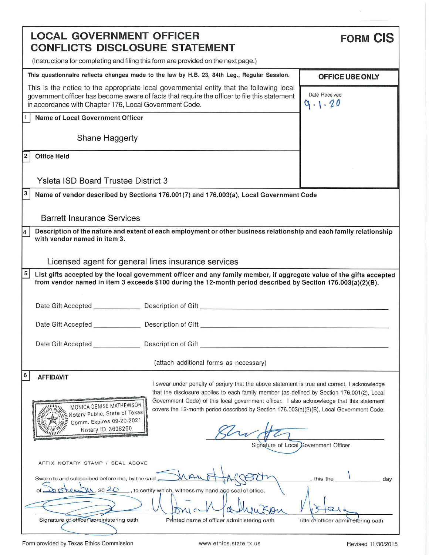| <b>LOCAL GOVERNMENT OFFICER</b><br><b>CONFLICTS DISCLOSURE STATEMENT</b>                                                                                                                                                                           | <b>FORM CIS</b>                       |
|----------------------------------------------------------------------------------------------------------------------------------------------------------------------------------------------------------------------------------------------------|---------------------------------------|
| (Instructions for completing and filing this form are provided on the next page.)                                                                                                                                                                  |                                       |
| This questionnaire reflects changes made to the law by H.B. 23, 84th Leg., Regular Session.                                                                                                                                                        | OFFICE USE ONLY                       |
| This is the notice to the appropriate local governmental entity that the following local<br>government officer has become aware of facts that require the officer to file this statement<br>in accordance with Chapter 176, Local Government Code. | Date Received<br>9.1.20               |
| <b>Name of Local Government Officer</b>                                                                                                                                                                                                            |                                       |
| Shane Haggerty                                                                                                                                                                                                                                     |                                       |
| 2<br><b>Office Held</b>                                                                                                                                                                                                                            |                                       |
| <b>Ysleta ISD Board Trustee District 3</b>                                                                                                                                                                                                         |                                       |
| з<br>Name of vendor described by Sections 176.001(7) and 176.003(a), Local Government Code                                                                                                                                                         |                                       |
| <b>Barrett Insurance Services</b>                                                                                                                                                                                                                  |                                       |
| Description of the nature and extent of each employment or other business relationship and each family relationship<br>$\overline{\mathbf{4}}$                                                                                                     |                                       |
| with vendor named in item 3.                                                                                                                                                                                                                       |                                       |
| Licensed agent for general lines insurance services                                                                                                                                                                                                |                                       |
| 5<br>List gifts accepted by the local government officer and any family member, if aggregate value of the gifts accepted                                                                                                                           |                                       |
| from vendor named in item 3 exceeds \$100 during the 12-month period described by Section 176.003(a)(2)(B).                                                                                                                                        |                                       |
| Date Gift Accepted <b>Description of Gift</b> [1994] Description of Gift [1994] Description of Gift [1994] Description of Gift [1994] Description of Gift [1994] Description of Gift [1994] Description of Gift [1994] Description                 |                                       |
|                                                                                                                                                                                                                                                    |                                       |
| Date Gift Accepted ___________________ Description of Gift ______________________                                                                                                                                                                  |                                       |
| Date Gift Accepted ____________                                                                                                                                                                                                                    |                                       |
| (attach additional forms as necessary)                                                                                                                                                                                                             |                                       |
| 6<br><b>AFFIDAVIT</b>                                                                                                                                                                                                                              |                                       |
| I swear under penalty of perjury that the above statement is true and correct. I acknowledge<br>that the disclosure applies to each family member (as defined by Section 176.001(2), Local                                                         |                                       |
| Government Code) of this local government officer. I also acknowledge that this statement<br>MONICA DENISE MATHEWSON<br>covers the 12-month period described by Section 176.003(a)(2)(B), Local Government Code.                                   |                                       |
| Notary Public, State of Texas<br>Comm. Expires 09-20-2021                                                                                                                                                                                          |                                       |
| Notary ID 3608260                                                                                                                                                                                                                                  |                                       |
|                                                                                                                                                                                                                                                    | Signature of Local Government Officer |
| AFFIX NOTARY STAMP / SEAL ABOVE                                                                                                                                                                                                                    |                                       |
| Sworn to and subscribed before me, by the said AVAW                                                                                                                                                                                                | , this the<br>day                     |
| kew U., 20 20, to certify which, witness my hand and seal of office.                                                                                                                                                                               |                                       |
|                                                                                                                                                                                                                                                    |                                       |
| Signature of officer administering oath<br>Printed name of officer administering oath                                                                                                                                                              | Title of officer administering oath   |
|                                                                                                                                                                                                                                                    |                                       |

Form provided by Texas Ethics Commission www.ethics.state.tx.us example and Revised 11/30/2015

 $\tilde{\omega}$